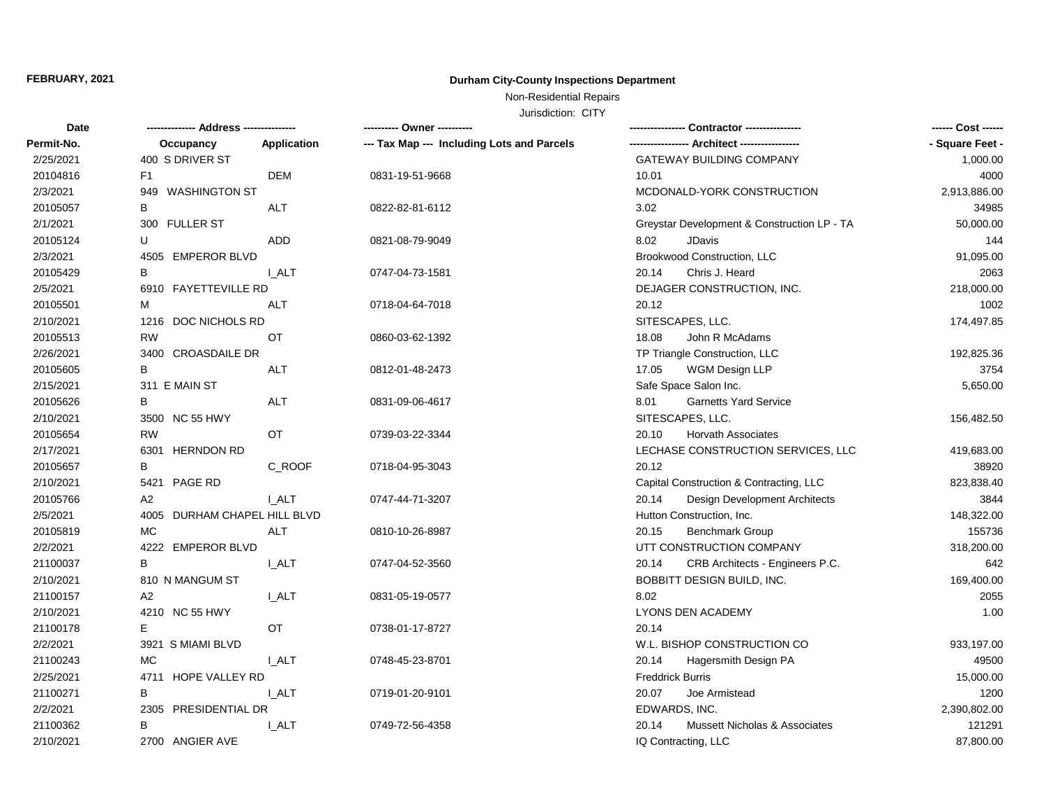### **FEBRUARY, 2021**

## **Durham City-County Inspections Department**

# Non-Residential Repairs

Jurisdiction: CITY

| Date       |                              |              |                                            | Contractor ----------------                 | ------ Cost ------ |
|------------|------------------------------|--------------|--------------------------------------------|---------------------------------------------|--------------------|
| Permit-No. | Occupancy                    | Application  | --- Tax Map --- Including Lots and Parcels |                                             | - Square Feet -    |
| 2/25/2021  | 400 S DRIVER ST              |              |                                            | GATEWAY BUILDING COMPANY                    | 1,000.00           |
| 20104816   | F1                           | DEM          | 0831-19-51-9668                            | 10.01                                       | 4000               |
| 2/3/2021   | 949 WASHINGTON ST            |              |                                            | MCDONALD-YORK CONSTRUCTION                  | 2,913,886.00       |
| 20105057   | В                            | <b>ALT</b>   | 0822-82-81-6112                            | 3.02                                        | 34985              |
| 2/1/2021   | 300 FULLER ST                |              |                                            | Greystar Development & Construction LP - TA | 50,000.00          |
| 20105124   | U                            | <b>ADD</b>   | 0821-08-79-9049                            | 8.02<br><b>JDavis</b>                       | 144                |
| 2/3/2021   | 4505 EMPEROR BLVD            |              |                                            | Brookwood Construction, LLC                 | 91,095.00          |
| 20105429   | в                            | I ALT        | 0747-04-73-1581                            | 20.14<br>Chris J. Heard                     | 2063               |
| 2/5/2021   | 6910 FAYETTEVILLE RD         |              |                                            | DEJAGER CONSTRUCTION, INC.                  | 218,000.00         |
| 20105501   | М                            | <b>ALT</b>   | 0718-04-64-7018                            | 20.12                                       | 1002               |
| 2/10/2021  | 1216 DOC NICHOLS RD          |              |                                            | SITESCAPES, LLC.                            | 174,497.85         |
| 20105513   | <b>RW</b>                    | OT           | 0860-03-62-1392                            | 18.08<br>John R McAdams                     |                    |
| 2/26/2021  | 3400 CROASDAILE DR           |              |                                            | TP Triangle Construction, LLC               | 192,825.36         |
| 20105605   | B                            | <b>ALT</b>   | 0812-01-48-2473                            | 17.05<br>WGM Design LLP                     | 3754               |
| 2/15/2021  | 311 E MAIN ST                |              |                                            | Safe Space Salon Inc.                       | 5,650.00           |
| 20105626   | В                            | <b>ALT</b>   | 0831-09-06-4617                            | <b>Garnetts Yard Service</b><br>8.01        |                    |
| 2/10/2021  | 3500 NC 55 HWY               |              |                                            | SITESCAPES, LLC.                            | 156,482.50         |
| 20105654   | <b>RW</b>                    | OT           | 0739-03-22-3344                            | 20.10<br><b>Horvath Associates</b>          |                    |
| 2/17/2021  | 6301 HERNDON RD              |              |                                            | LECHASE CONSTRUCTION SERVICES, LLC          | 419,683.00         |
| 20105657   | B                            | C ROOF       | 0718-04-95-3043                            | 20.12                                       | 38920              |
| 2/10/2021  | 5421 PAGE RD                 |              |                                            | Capital Construction & Contracting, LLC     | 823,838.40         |
| 20105766   | A2                           | <b>LALT</b>  | 0747-44-71-3207                            | Design Development Architects<br>20.14      | 3844               |
| 2/5/2021   | 4005 DURHAM CHAPEL HILL BLVD |              |                                            | Hutton Construction, Inc.                   | 148,322.00         |
| 20105819   | МC                           | ALT          | 0810-10-26-8987                            | 20.15<br><b>Benchmark Group</b>             | 155736             |
| 2/2/2021   | 4222 EMPEROR BLVD            |              |                                            | UTT CONSTRUCTION COMPANY                    | 318,200.00         |
| 21100037   | B                            | I_ALT        | 0747-04-52-3560                            | 20.14<br>CRB Architects - Engineers P.C.    | 642                |
| 2/10/2021  | 810 N MANGUM ST              |              |                                            | BOBBITT DESIGN BUILD, INC.                  | 169,400.00         |
| 21100157   | A2                           | <b>L_ALT</b> | 0831-05-19-0577                            | 8.02                                        | 2055               |
| 2/10/2021  | 4210 NC 55 HWY               |              |                                            | LYONS DEN ACADEMY                           | 1.00               |
| 21100178   | Е                            | OT           | 0738-01-17-8727                            | 20.14                                       |                    |
| 2/2/2021   | 3921 S MIAMI BLVD            |              |                                            | W.L. BISHOP CONSTRUCTION CO                 | 933,197.00         |
| 21100243   | <b>MC</b>                    | <b>I_ALT</b> | 0748-45-23-8701                            | 20.14<br>Hagersmith Design PA               | 49500              |
| 2/25/2021  | 4711 HOPE VALLEY RD          |              |                                            | <b>Freddrick Burris</b>                     | 15,000.00          |
| 21100271   | B                            | I ALT        | 0719-01-20-9101                            | 20.07<br>Joe Armistead                      | 1200               |
| 2/2/2021   | 2305 PRESIDENTIAL DR         |              |                                            | EDWARDS, INC.                               | 2,390,802.00       |
| 21100362   | в                            | <b>L_ALT</b> | 0749-72-56-4358                            | Mussett Nicholas & Associates<br>20.14      | 121291             |
| 2/10/2021  | 2700 ANGIER AVE              |              |                                            | IQ Contracting, LLC                         | 87,800.00          |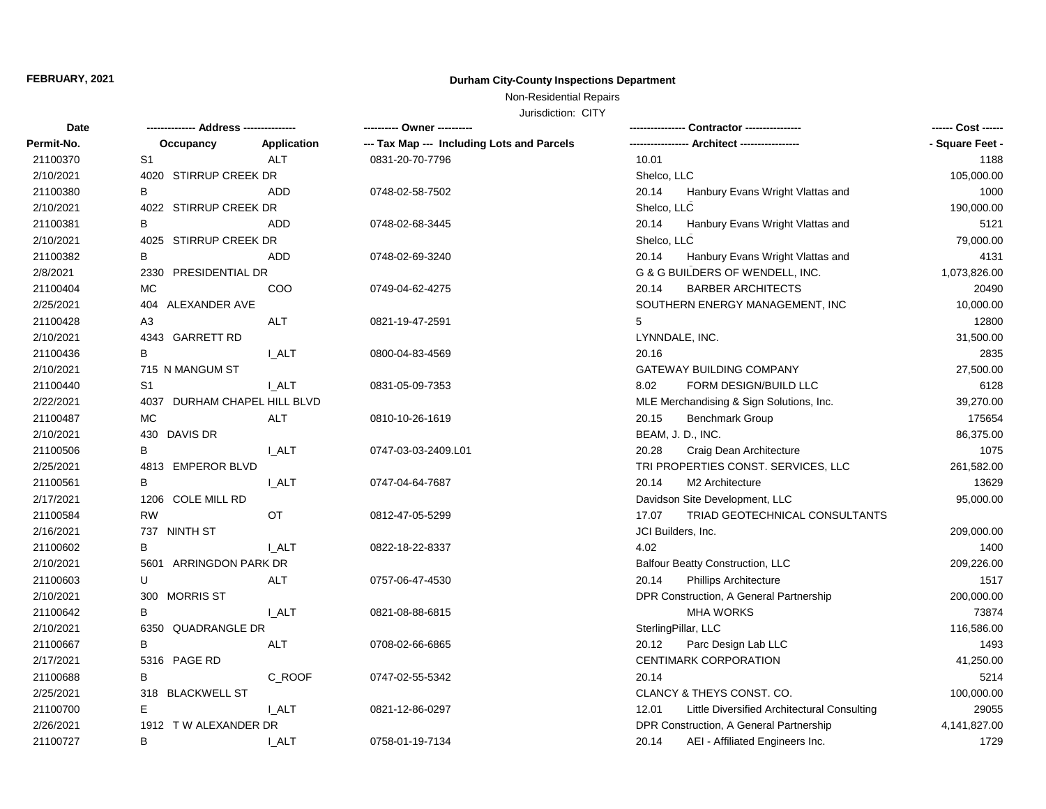### **FEBRUARY, 2021**

## **Durham City-County Inspections Department**

# Non-Residential Repairs

Jurisdiction: CITY

| Date       |                              |              | ---------- Owner ----------                | Contractor ----------------                          |                 |
|------------|------------------------------|--------------|--------------------------------------------|------------------------------------------------------|-----------------|
| Permit-No. | Occupancy                    | Application  | --- Tax Map --- Including Lots and Parcels |                                                      | - Square Feet - |
| 21100370   | S <sub>1</sub>               | <b>ALT</b>   | 0831-20-70-7796                            | 10.01                                                | 1188            |
| 2/10/2021  | 4020 STIRRUP CREEK DR        |              |                                            | Shelco, LLC                                          | 105,000.00      |
| 21100380   | B                            | <b>ADD</b>   | 0748-02-58-7502                            | 20.14<br>Hanbury Evans Wright Vlattas and            | 1000            |
| 2/10/2021  | 4022 STIRRUP CREEK DR        |              |                                            | Shelco, LLC                                          | 190,000.00      |
| 21100381   | B                            | <b>ADD</b>   | 0748-02-68-3445                            | 20.14<br>Hanbury Evans Wright Vlattas and            | 5121            |
| 2/10/2021  | 4025 STIRRUP CREEK DR        |              |                                            | Shelco, LLC                                          | 79,000.00       |
| 21100382   | В                            | <b>ADD</b>   | 0748-02-69-3240                            | 20.14<br>Hanbury Evans Wright Vlattas and            | 4131            |
| 2/8/2021   | 2330 PRESIDENTIAL DR         |              |                                            | G & G BUILDERS OF WENDELL, INC.                      | 1,073,826.00    |
| 21100404   | MC                           | COO          | 0749-04-62-4275                            | <b>BARBER ARCHITECTS</b><br>20.14                    | 20490           |
| 2/25/2021  | 404 ALEXANDER AVE            |              |                                            | SOUTHERN ENERGY MANAGEMENT, INC                      | 10,000.00       |
| 21100428   | A <sub>3</sub>               | <b>ALT</b>   | 0821-19-47-2591                            | 5                                                    | 12800           |
| 2/10/2021  | 4343 GARRETT RD              |              |                                            | LYNNDALE, INC.                                       | 31,500.00       |
| 21100436   | B                            | <b>L_ALT</b> | 0800-04-83-4569                            | 20.16                                                | 2835            |
| 2/10/2021  | 715 N MANGUM ST              |              |                                            | <b>GATEWAY BUILDING COMPANY</b>                      | 27,500.00       |
| 21100440   | S1                           | I ALT        | 0831-05-09-7353                            | 8.02<br>FORM DESIGN/BUILD LLC                        | 6128            |
| 2/22/2021  | 4037 DURHAM CHAPEL HILL BLVD |              |                                            | MLE Merchandising & Sign Solutions, Inc.             | 39,270.00       |
| 21100487   | <b>MC</b>                    | <b>ALT</b>   | 0810-10-26-1619                            | 20.15<br>Benchmark Group                             | 175654          |
| 2/10/2021  | 430 DAVIS DR                 |              |                                            | BEAM, J. D., INC.                                    | 86,375.00       |
| 21100506   | B                            | <b>I_ALT</b> | 0747-03-03-2409.L01                        | Craig Dean Architecture<br>20.28                     | 1075            |
| 2/25/2021  | 4813 EMPEROR BLVD            |              |                                            | TRI PROPERTIES CONST. SERVICES, LLC                  | 261,582.00      |
| 21100561   | B                            | <b>I_ALT</b> | 0747-04-64-7687                            | M <sub>2</sub> Architecture<br>20.14                 | 13629           |
| 2/17/2021  | 1206 COLE MILL RD            |              |                                            | Davidson Site Development, LLC                       | 95,000.00       |
| 21100584   | <b>RW</b>                    | OT           | 0812-47-05-5299                            | 17.07<br>TRIAD GEOTECHNICAL CONSULTANTS              |                 |
| 2/16/2021  | 737 NINTH ST                 |              |                                            | JCI Builders, Inc.                                   | 209,000.00      |
| 21100602   | B                            | <b>I_ALT</b> | 0822-18-22-8337                            | 4.02                                                 | 1400            |
| 2/10/2021  | 5601 ARRINGDON PARK DR       |              |                                            | Balfour Beatty Construction, LLC                     | 209,226.00      |
| 21100603   | U                            | <b>ALT</b>   | 0757-06-47-4530                            | 20.14<br><b>Phillips Architecture</b>                | 1517            |
| 2/10/2021  | 300 MORRIS ST                |              |                                            | DPR Construction, A General Partnership              | 200,000.00      |
| 21100642   | В                            | <b>I_ALT</b> | 0821-08-88-6815                            | <b>MHA WORKS</b>                                     | 73874           |
| 2/10/2021  | 6350 QUADRANGLE DR           |              |                                            | SterlingPillar, LLC                                  | 116,586.00      |
| 21100667   | B                            | <b>ALT</b>   | 0708-02-66-6865                            | 20.12<br>Parc Design Lab LLC                         | 1493            |
| 2/17/2021  | 5316 PAGE RD                 |              |                                            | <b>CENTIMARK CORPORATION</b>                         | 41,250.00       |
| 21100688   | B                            | C_ROOF       | 0747-02-55-5342                            | 20.14                                                | 5214            |
| 2/25/2021  | 318 BLACKWELL ST             |              |                                            | CLANCY & THEYS CONST. CO.                            | 100,000.00      |
| 21100700   | E                            | I ALT        | 0821-12-86-0297                            | Little Diversified Architectural Consulting<br>12.01 | 29055           |
| 2/26/2021  | 1912 TW ALEXANDER DR         |              |                                            | DPR Construction, A General Partnership              | 4,141,827.00    |
| 21100727   | B                            | I ALT        | 0758-01-19-7134                            | AEI - Affiliated Engineers Inc.<br>20.14             | 1729            |